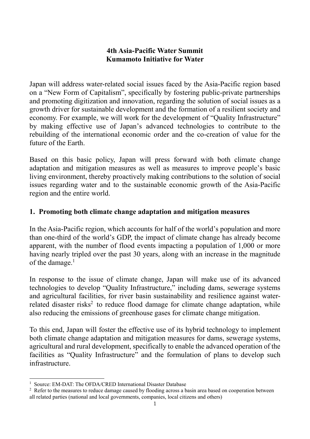### **4th Asia-Pacific Water Summit Kumamoto Initiative for Water**

Japan will address water-related social issues faced by the Asia-Pacific region based on a "New Form of Capitalism", specifically by fostering public-private partnerships and promoting digitization and innovation, regarding the solution of social issues as a growth driver for sustainable development and the formation of a resilient society and economy. For example, we will work for the development of "Quality Infrastructure" by making effective use of Japan's advanced technologies to contribute to the rebuilding of the international economic order and the co-creation of value for the future of the Earth.

Based on this basic policy, Japan will press forward with both climate change adaptation and mitigation measures as well as measures to improve people's basic living environment, thereby proactively making contributions to the solution of social issues regarding water and to the sustainable economic growth of the Asia-Pacific region and the entire world.

## **1. Promoting both climate change adaptation and mitigation measures**

In the Asia-Pacific region, which accounts for half of the world's population and more than one-third of the world's GDP, the impact of climate change has already become apparent, with the number of flood events impacting a population of 1,000 or more having nearly tripled over the past 30 years, along with an increase in the magnitude of the damage.<sup>1</sup>

In response to the issue of climate change, Japan will make use of its advanced technologies to develop "Quality Infrastructure," including dams, sewerage systems and agricultural facilities, for river basin sustainability and resilience against waterrelated disaster risks<sup>2</sup> to reduce flood damage for climate change adaptation, while also reducing the emissions of greenhouse gases for climate change mitigation.

To this end, Japan will foster the effective use of its hybrid technology to implement both climate change adaptation and mitigation measures for dams, sewerage systems, agricultural and rural development, specifically to enable the advanced operation of the facilities as "Quality Infrastructure" and the formulation of plans to develop such infrastructure.

<sup>&</sup>lt;sup>1</sup> Source: EM-DAT: The OFDA/CRED International Disaster Database

<sup>&</sup>lt;sup>2</sup> Refer to the measures to reduce damage caused by flooding across a basin area based on cooperation between all related parties (national and local governments, companies, local citizens and others)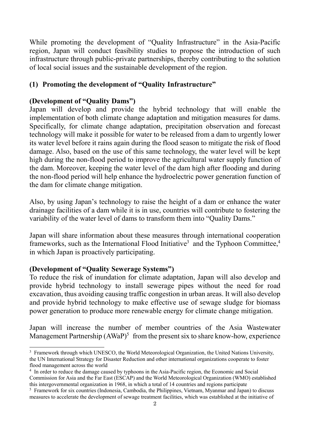While promoting the development of "Quality Infrastructure" in the Asia-Pacific region, Japan will conduct feasibility studies to propose the introduction of such infrastructure through public-private partnerships, thereby contributing to the solution of local social issues and the sustainable development of the region.

# **(1) Promoting the development of "Quality Infrastructure"**

#### **(Development of "Quality Dams")**

Japan will develop and provide the hybrid technology that will enable the implementation of both climate change adaptation and mitigation measures for dams. Specifically, for climate change adaptation, precipitation observation and forecast technology will make it possible for water to be released from a dam to urgently lower its water level before it rains again during the flood season to mitigate the risk of flood damage. Also, based on the use of this same technology, the water level will be kept high during the non-flood period to improve the agricultural water supply function of the dam. Moreover, keeping the water level of the dam high after flooding and during the non-flood period will help enhance the hydroelectric power generation function of the dam for climate change mitigation.

Also, by using Japan's technology to raise the height of a dam or enhance the water drainage facilities of a dam while it is in use, countries will contribute to fostering the variability of the water level of dams to transform them into "Quality Dams."

Japan will share information about these measures through international cooperation frameworks, such as the International Flood Initiative<sup>3</sup> and the Typhoon Committee,<sup>4</sup> in which Japan is proactively participating.

#### **(Development of "Quality Sewerage Systems")**

To reduce the risk of inundation for climate adaptation, Japan will also develop and provide hybrid technology to install sewerage pipes without the need for road excavation, thus avoiding causing traffic congestion in urban areas. It will also develop and provide hybrid technology to make effective use of sewage sludge for biomass power generation to produce more renewable energy for climate change mitigation.

Japan will increase the number of member countries of the Asia Wastewater Management Partnership (AWaP)<sup>5</sup> from the present six to share know-how, experience

<sup>3</sup> Framework through which UNESCO, the World Meteorological Organization, the United Nations University, the UN International Strategy for Disaster Reduction and other international organizations cooperate to foster flood management across the world

<sup>&</sup>lt;sup>4</sup> In order to reduce the damage caused by typhoons in the Asia-Pacific region, the Economic and Social Commission for Asia and the Far East (ESCAP) and the World Meteorological Organization (WMO) established this intergovernmental organization in 1968, in which a total of 14 countries and regions participate

<sup>5</sup> Framework for six countries (Indonesia, Cambodia, the Philippines, Vietnam, Myanmar and Japan) to discuss measures to accelerate the development of sewage treatment facilities, which was established at the initiative of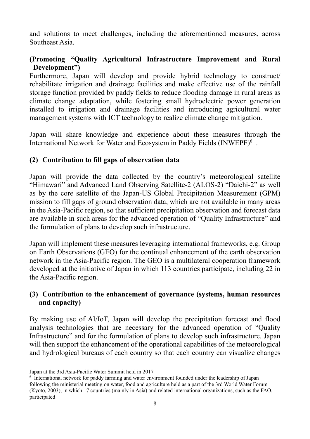and solutions to meet challenges, including the aforementioned measures, across Southeast Asia.

# **(Promoting "Quality Agricultural Infrastructure Improvement and Rural Development")**

Furthermore, Japan will develop and provide hybrid technology to construct/ rehabilitate irrigation and drainage facilities and make effective use of the rainfall storage function provided by paddy fields to reduce flooding damage in rural areas as climate change adaptation, while fostering small hydroelectric power generation installed to irrigation and drainage facilities and introducing agricultural water management systems with ICT technology to realize climate change mitigation.

Japan will share knowledge and experience about these measures through the International Network for Water and Ecosystem in Paddy Fields (INWEPF)<sup>6</sup>.

## **(2) Contribution to fill gaps of observation data**

Japan will provide the data collected by the country's meteorological satellite "Himawari" and Advanced Land Observing Satellite-2 (ALOS-2) "Daichi-2" as well as by the core satellite of the Japan-US Global Precipitation Measurement (GPM) mission to fill gaps of ground observation data, which are not available in many areas in the Asia-Pacific region, so that sufficient precipitation observation and forecast data are available in such areas for the advanced operation of "Quality Infrastructure" and the formulation of plans to develop such infrastructure.

Japan will implement these measures leveraging international frameworks, e.g. Group on Earth Observations (GEO) for the continual enhancement of the earth observation network in the Asia-Pacific region. The GEO is a multilateral cooperation framework developed at the initiative of Japan in which 113 countries participate, including 22 in the Asia-Pacific region.

## **(3) Contribution to the enhancement of governance (systems, human resources and capacity)**

By making use of AI/IoT, Japan will develop the precipitation forecast and flood analysis technologies that are necessary for the advanced operation of "Quality Infrastructure" and for the formulation of plans to develop such infrastructure. Japan will then support the enhancement of the operational capabilities of the meteorological and hydrological bureaus of each country so that each country can visualize changes

Japan at the 3rd Asia-Pacific Water Summit held in 2017

<sup>&</sup>lt;sup>6</sup> International network for paddy farming and water environment founded under the leadership of Japan following the ministerial meeting on water, food and agriculture held as a part of the 3rd World Water Forum (Kyoto, 2003), in which 17 countries (mainly in Asia) and related international organizations, such as the FAO, participated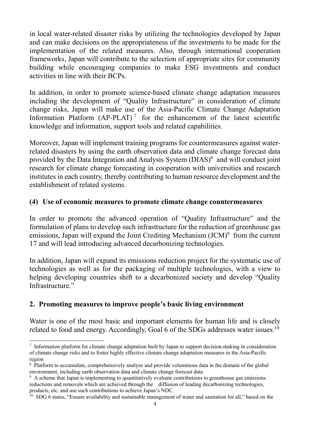in local water-related disaster risks by utilizing the technologies developed by Japan and can make decisions on the appropriateness of the investments to be made for the implementation of the related measures. Also, through international cooperation frameworks, Japan will contribute to the selection of appropriate sites for community building while encouraging companies to make ESG investments and conduct activities in line with their BCPs.

In addition, in order to promote science-based climate change adaptation measures including the development of "Quality Infrastructure" in consideration of climate change risks, Japan will make use of the Asia-Pacific Climate Change Adaptation Information Platform  $(AP-PLAT)^7$  for the enhancement of the latest scientific knowledge and information, support tools and related capabilities.

Moreover, Japan will implement training programs for countermeasures against waterrelated disasters by using the earth observation data and climate change forecast data provided by the Data Integration and Analysis System (DIAS) 8 and will conduct joint research for climate change forecasting in cooperation with universities and research institutes in each country, thereby contributing to human resource development and the establishment of related systems.

#### **(4) Use of economic measures to promote climate change countermeasures**

In order to promote the advanced operation of "Quality Infrastructure" and the formulation of plans to develop such infrastructure for the reduction of greenhouse gas emissions, Japan will expand the Joint Crediting Mechanism (JCM)<sup>9</sup> from the current 17 and will lead introducing advanced decarbonizing technologies.

In addition, Japan will expand its emissions reduction project for the systematic use of technologies as well as for the packaging of multiple technologies, with a view to helping developing countries shift to a decarbonized society and develop "Quality Infrastructure."

#### **2. Promoting measures to improve people's basic living environment**

Water is one of the most basic and important elements for human life and is closely related to food and energy. Accordingly, Goal 6 of the SDGs addresses water issues.<sup>10</sup>

<sup>&</sup>lt;sup>7</sup> Information platform for climate change adaptation built by Japan to support decision-making in consideration of climate change risks and to foster highly effective climate change adaptation measures in the Asia-Pacific region

<sup>8</sup> Platform to accumulate, comprehensively analyze and provide voluminous data in the domain of the global environment, including earth observation data and climate change forecast data

<sup>9</sup> A scheme that Japan is implementing to quantitatively evaluate contributions to greenhouse gas emissions reductions and removals which are achieved through the diffusion of leading decarbonizing technologies, products, etc. and use such contributions to achieve Japan's NDC.

 $10$  SDG 6 states, "Ensure availability and sustainable management of water and sanitation for all," based on the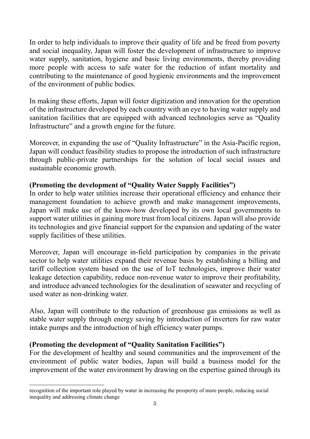In order to help individuals to improve their quality of life and be freed from poverty and social inequality, Japan will foster the development of infrastructure to improve water supply, sanitation, hygiene and basic living environments, thereby providing more people with access to safe water for the reduction of infant mortality and contributing to the maintenance of good hygienic environments and the improvement of the environment of public bodies.

In making these efforts, Japan will foster digitization and innovation for the operation of the infrastructure developed by each country with an eye to having water supply and sanitation facilities that are equipped with advanced technologies serve as "Quality Infrastructure" and a growth engine for the future.

Moreover, in expanding the use of "Quality Infrastructure" in the Asia-Pacific region, Japan will conduct feasibility studies to propose the introduction of such infrastructure through public-private partnerships for the solution of local social issues and sustainable economic growth.

## **(Promoting the development of "Quality Water Supply Facilities")**

In order to help water utilities increase their operational efficiency and enhance their management foundation to achieve growth and make management improvements, Japan will make use of the know-how developed by its own local governments to support water utilities in gaining more trust from local citizens. Japan will also provide its technologies and give financial support for the expansion and updating of the water supply facilities of these utilities.

Moreover, Japan will encourage in-field participation by companies in the private sector to help water utilities expand their revenue basis by establishing a billing and tariff collection system based on the use of IoT technologies, improve their water leakage detection capability, reduce non-revenue water to improve their profitability, and introduce advanced technologies for the desalination of seawater and recycling of used water as non-drinking water.

Also, Japan will contribute to the reduction of greenhouse gas emissions as well as stable water supply through energy saving by introduction of inverters for raw water intake pumps and the introduction of high efficiency water pumps.

#### **(Promoting the development of "Quality Sanitation Facilities")**

For the development of healthy and sound communities and the improvement of the environment of public water bodies, Japan will build a business model for the improvement of the water environment by drawing on the expertise gained through its

recognition of the important role played by water in increasing the prosperity of more people, reducing social inequality and addressing climate change